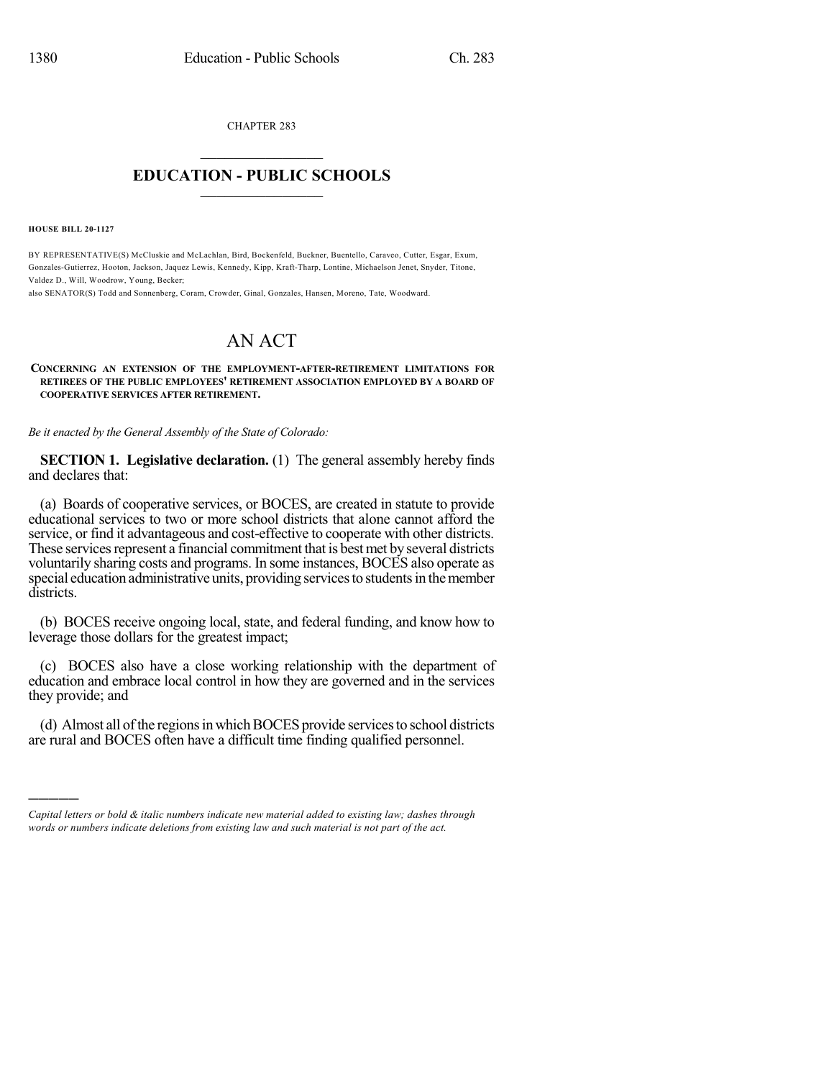CHAPTER 283  $\overline{\phantom{a}}$  . The set of the set of the set of the set of the set of the set of the set of the set of the set of the set of the set of the set of the set of the set of the set of the set of the set of the set of the set o

## **EDUCATION - PUBLIC SCHOOLS**  $\_$   $\_$   $\_$   $\_$   $\_$   $\_$   $\_$   $\_$   $\_$

**HOUSE BILL 20-1127**

)))))

BY REPRESENTATIVE(S) McCluskie and McLachlan, Bird, Bockenfeld, Buckner, Buentello, Caraveo, Cutter, Esgar, Exum, Gonzales-Gutierrez, Hooton, Jackson, Jaquez Lewis, Kennedy, Kipp, Kraft-Tharp, Lontine, Michaelson Jenet, Snyder, Titone, Valdez D., Will, Woodrow, Young, Becker;

also SENATOR(S) Todd and Sonnenberg, Coram, Crowder, Ginal, Gonzales, Hansen, Moreno, Tate, Woodward.

## AN ACT

## **CONCERNING AN EXTENSION OF THE EMPLOYMENT-AFTER-RETIREMENT LIMITATIONS FOR RETIREES OF THE PUBLIC EMPLOYEES' RETIREMENT ASSOCIATION EMPLOYED BY A BOARD OF COOPERATIVE SERVICES AFTER RETIREMENT.**

*Be it enacted by the General Assembly of the State of Colorado:*

**SECTION 1. Legislative declaration.** (1) The general assembly hereby finds and declares that:

(a) Boards of cooperative services, or BOCES, are created in statute to provide educational services to two or more school districts that alone cannot afford the service, or find it advantageous and cost-effective to cooperate with other districts. These services represent a financial commitment that is best met by several districts voluntarily sharing costs and programs. In some instances, BOCES also operate as special education administrative units, providing services to students in the member districts.

(b) BOCES receive ongoing local, state, and federal funding, and know how to leverage those dollars for the greatest impact;

(c) BOCES also have a close working relationship with the department of education and embrace local control in how they are governed and in the services they provide; and

(d) Almost all of the regions in which BOCES provide services to school districts are rural and BOCES often have a difficult time finding qualified personnel.

*Capital letters or bold & italic numbers indicate new material added to existing law; dashes through words or numbers indicate deletions from existing law and such material is not part of the act.*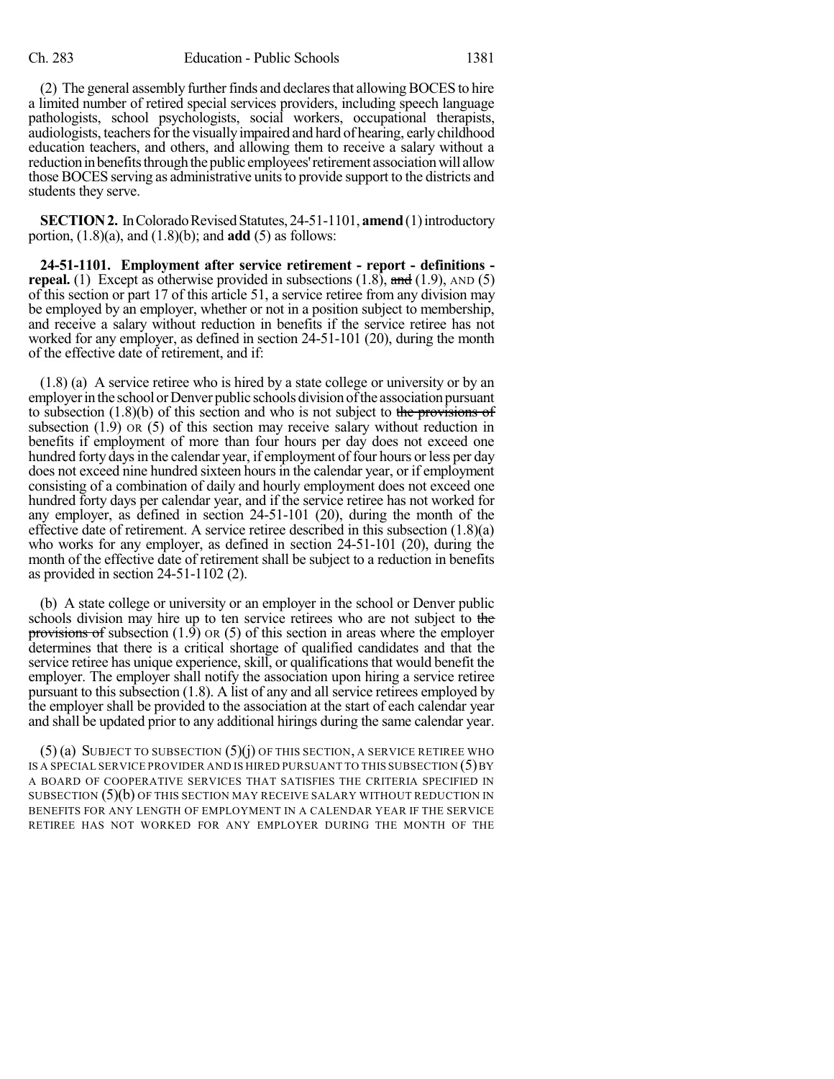(2) The general assembly further finds and declares that allowing BOCES to hire a limited number of retired special services providers, including speech language pathologists, school psychologists, social workers, occupational therapists, audiologists, teachers for the visually impaired and hard of hearing, early childhood education teachers, and others, and allowing them to receive a salary without a reduction in benefits through the public employees' retirement association will allow those BOCES serving as administrative unitsto provide support to the districts and students they serve.

**SECTION 2.** In Colorado Revised Statutes, 24-51-1101, **amend** (1) introductory portion, (1.8)(a), and (1.8)(b); and **add** (5) as follows:

**24-51-1101. Employment after service retirement - report - definitions repeal.** (1) Except as otherwise provided in subsections  $(1.8)$ , and  $(1.9)$ , AND  $(5)$ of this section or part 17 of this article 51, a service retiree from any division may be employed by an employer, whether or not in a position subject to membership, and receive a salary without reduction in benefits if the service retiree has not worked for any employer, as defined in section 24-51-101 (20), during the month of the effective date of retirement, and if:

(1.8) (a) A service retiree who is hired by a state college or university or by an employer in the school or Denver public schools division of the association pursuant to subsection  $(1.8)(b)$  of this section and who is not subject to the provisions of subsection (1.9) OR (5) of this section may receive salary without reduction in benefits if employment of more than four hours per day does not exceed one hundred forty days in the calendar year, if employment of four hours or less per day does not exceed nine hundred sixteen hours in the calendar year, or if employment consisting of a combination of daily and hourly employment does not exceed one hundred forty days per calendar year, and if the service retiree has not worked for any employer, as defined in section 24-51-101 (20), during the month of the effective date of retirement. A service retiree described in this subsection (1.8)(a) who works for any employer, as defined in section 24-51-101 (20), during the month of the effective date of retirement shall be subject to a reduction in benefits as provided in section 24-51-1102 (2).

(b) A state college or university or an employer in the school or Denver public schools division may hire up to ten service retirees who are not subject to the provisions of subsection  $(1.9)$  OR  $(5)$  of this section in areas where the employer determines that there is a critical shortage of qualified candidates and that the service retiree has unique experience, skill, or qualifications that would benefit the employer. The employer shall notify the association upon hiring a service retiree pursuant to this subsection (1.8). A list of any and all service retirees employed by the employer shall be provided to the association at the start of each calendar year and shall be updated prior to any additional hirings during the same calendar year.

 $(5)$  (a) SUBJECT TO SUBSECTION  $(5)$  (j) OF THIS SECTION, A SERVICE RETIREE WHO IS A SPECIAL SERVICE PROVIDER AND IS HIRED PURSUANT TO THIS SUBSECTION  $(5)$  BY A BOARD OF COOPERATIVE SERVICES THAT SATISFIES THE CRITERIA SPECIFIED IN SUBSECTION (5)(b) OF THIS SECTION MAY RECEIVE SALARY WITHOUT REDUCTION IN BENEFITS FOR ANY LENGTH OF EMPLOYMENT IN A CALENDAR YEAR IF THE SERVICE RETIREE HAS NOT WORKED FOR ANY EMPLOYER DURING THE MONTH OF THE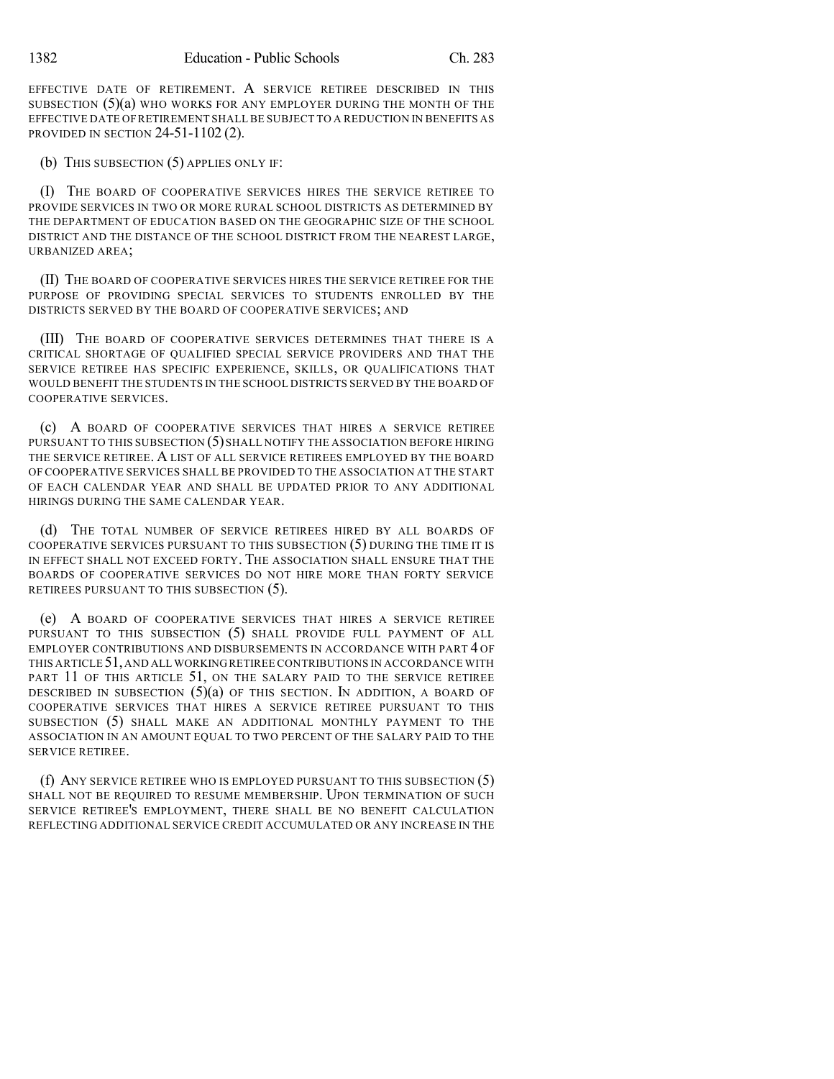EFFECTIVE DATE OF RETIREMENT. A SERVICE RETIREE DESCRIBED IN THIS SUBSECTION  $(5)(a)$  who works for any employer during the month of the EFFECTIVE DATE OF RETIREMENT SHALL BE SUBJECT TO A REDUCTION IN BENEFITS AS PROVIDED IN SECTION 24-51-1102 (2).

(b) THIS SUBSECTION (5) APPLIES ONLY IF:

(I) THE BOARD OF COOPERATIVE SERVICES HIRES THE SERVICE RETIREE TO PROVIDE SERVICES IN TWO OR MORE RURAL SCHOOL DISTRICTS AS DETERMINED BY THE DEPARTMENT OF EDUCATION BASED ON THE GEOGRAPHIC SIZE OF THE SCHOOL DISTRICT AND THE DISTANCE OF THE SCHOOL DISTRICT FROM THE NEAREST LARGE, URBANIZED AREA;

(II) THE BOARD OF COOPERATIVE SERVICES HIRES THE SERVICE RETIREE FOR THE PURPOSE OF PROVIDING SPECIAL SERVICES TO STUDENTS ENROLLED BY THE DISTRICTS SERVED BY THE BOARD OF COOPERATIVE SERVICES; AND

(III) THE BOARD OF COOPERATIVE SERVICES DETERMINES THAT THERE IS A CRITICAL SHORTAGE OF QUALIFIED SPECIAL SERVICE PROVIDERS AND THAT THE SERVICE RETIREE HAS SPECIFIC EXPERIENCE, SKILLS, OR QUALIFICATIONS THAT WOULD BENEFIT THE STUDENTS IN THE SCHOOL DISTRICTS SERVED BY THE BOARD OF COOPERATIVE SERVICES.

(c) A BOARD OF COOPERATIVE SERVICES THAT HIRES A SERVICE RETIREE PURSUANT TO THIS SUBSECTION (5) SHALL NOTIFY THE ASSOCIATION BEFORE HIRING THE SERVICE RETIREE. A LIST OF ALL SERVICE RETIREES EMPLOYED BY THE BOARD OF COOPERATIVE SERVICES SHALL BE PROVIDED TO THE ASSOCIATION AT THE START OF EACH CALENDAR YEAR AND SHALL BE UPDATED PRIOR TO ANY ADDITIONAL HIRINGS DURING THE SAME CALENDAR YEAR.

(d) THE TOTAL NUMBER OF SERVICE RETIREES HIRED BY ALL BOARDS OF COOPERATIVE SERVICES PURSUANT TO THIS SUBSECTION (5) DURING THE TIME IT IS IN EFFECT SHALL NOT EXCEED FORTY. THE ASSOCIATION SHALL ENSURE THAT THE BOARDS OF COOPERATIVE SERVICES DO NOT HIRE MORE THAN FORTY SERVICE RETIREES PURSUANT TO THIS SUBSECTION (5).

(e) A BOARD OF COOPERATIVE SERVICES THAT HIRES A SERVICE RETIREE PURSUANT TO THIS SUBSECTION (5) SHALL PROVIDE FULL PAYMENT OF ALL EMPLOYER CONTRIBUTIONS AND DISBURSEMENTS IN ACCORDANCE WITH PART 4 OF THIS ARTICLE 51,AND ALL WORKINGRETIREE CONTRIBUTIONS IN ACCORDANCE WITH PART 11 OF THIS ARTICLE 51, ON THE SALARY PAID TO THE SERVICE RETIREE DESCRIBED IN SUBSECTION  $(5)(a)$  of this section. In addition, a board of COOPERATIVE SERVICES THAT HIRES A SERVICE RETIREE PURSUANT TO THIS SUBSECTION (5) SHALL MAKE AN ADDITIONAL MONTHLY PAYMENT TO THE ASSOCIATION IN AN AMOUNT EQUAL TO TWO PERCENT OF THE SALARY PAID TO THE SERVICE RETIREE.

(f) ANY SERVICE RETIREE WHO IS EMPLOYED PURSUANT TO THIS SUBSECTION (5) SHALL NOT BE REQUIRED TO RESUME MEMBERSHIP. UPON TERMINATION OF SUCH SERVICE RETIREE'S EMPLOYMENT, THERE SHALL BE NO BENEFIT CALCULATION REFLECTING ADDITIONAL SERVICE CREDIT ACCUMULATED OR ANY INCREASE IN THE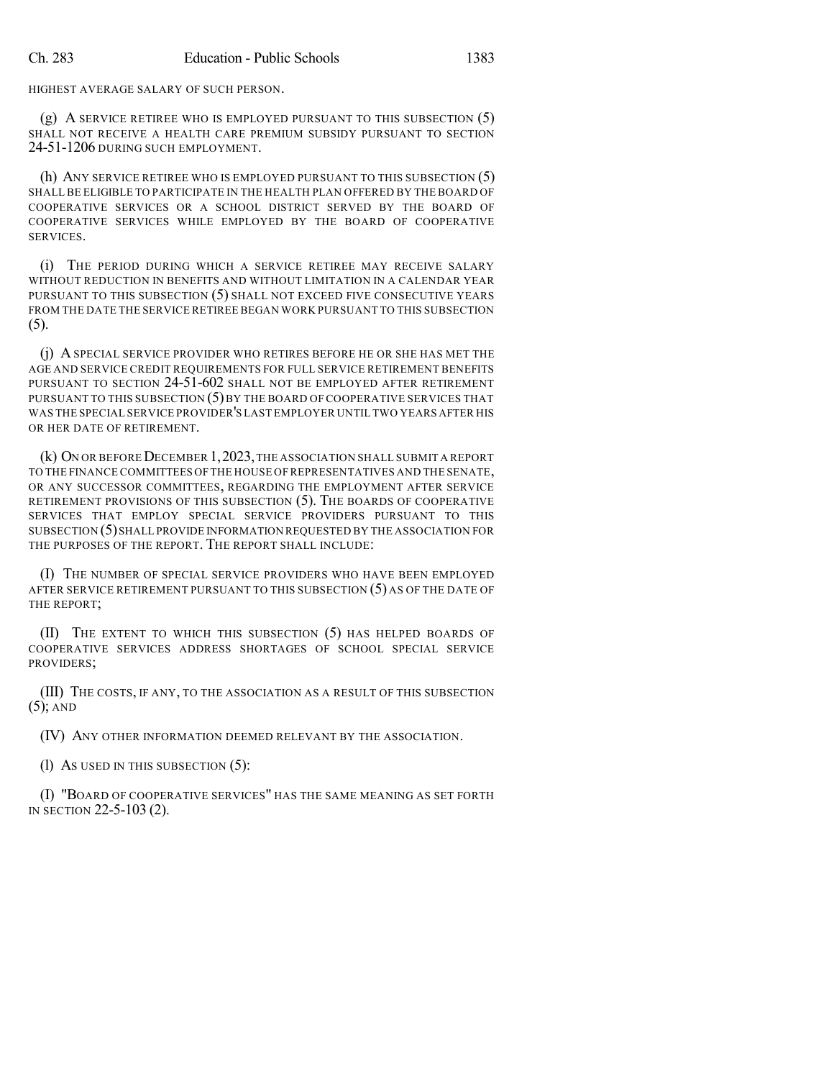HIGHEST AVERAGE SALARY OF SUCH PERSON.

(g) A SERVICE RETIREE WHO IS EMPLOYED PURSUANT TO THIS SUBSECTION (5) SHALL NOT RECEIVE A HEALTH CARE PREMIUM SUBSIDY PURSUANT TO SECTION 24-51-1206 DURING SUCH EMPLOYMENT.

(h) ANY SERVICE RETIREE WHO IS EMPLOYED PURSUANT TO THIS SUBSECTION (5) SHALL BE ELIGIBLE TO PARTICIPATE IN THE HEALTH PLAN OFFERED BY THE BOARD OF COOPERATIVE SERVICES OR A SCHOOL DISTRICT SERVED BY THE BOARD OF COOPERATIVE SERVICES WHILE EMPLOYED BY THE BOARD OF COOPERATIVE SERVICES.

(i) THE PERIOD DURING WHICH A SERVICE RETIREE MAY RECEIVE SALARY WITHOUT REDUCTION IN BENEFITS AND WITHOUT LIMITATION IN A CALENDAR YEAR PURSUANT TO THIS SUBSECTION (5) SHALL NOT EXCEED FIVE CONSECUTIVE YEARS FROM THE DATE THE SERVICE RETIREE BEGAN WORK PURSUANT TO THIS SUBSECTION (5).

(j) A SPECIAL SERVICE PROVIDER WHO RETIRES BEFORE HE OR SHE HAS MET THE AGE AND SERVICE CREDIT REQUIREMENTS FOR FULL SERVICE RETIREMENT BENEFITS PURSUANT TO SECTION 24-51-602 SHALL NOT BE EMPLOYED AFTER RETIREMENT PURSUANT TO THIS SUBSECTION  $(5)$  by the board of cooperative services that WAS THE SPECIAL SERVICE PROVIDER'S LAST EMPLOYER UNTIL TWO YEARS AFTER HIS OR HER DATE OF RETIREMENT.

(k) ON OR BEFORE DECEMBER 1, 2023, THE ASSOCIATION SHALL SUBMIT A REPORT TO THE FINANCE COMMITTEES OF THE HOUSE OF REPRESENTATIVES AND THE SENATE, OR ANY SUCCESSOR COMMITTEES, REGARDING THE EMPLOYMENT AFTER SERVICE RETIREMENT PROVISIONS OF THIS SUBSECTION (5). THE BOARDS OF COOPERATIVE SERVICES THAT EMPLOY SPECIAL SERVICE PROVIDERS PURSUANT TO THIS SUBSECTION (5) SHALL PROVIDE INFORMATION REQUESTED BY THE ASSOCIATION FOR THE PURPOSES OF THE REPORT. THE REPORT SHALL INCLUDE:

(I) THE NUMBER OF SPECIAL SERVICE PROVIDERS WHO HAVE BEEN EMPLOYED AFTER SERVICE RETIREMENT PURSUANT TO THIS SUBSECTION (5) AS OF THE DATE OF THE REPORT;

(II) THE EXTENT TO WHICH THIS SUBSECTION (5) HAS HELPED BOARDS OF COOPERATIVE SERVICES ADDRESS SHORTAGES OF SCHOOL SPECIAL SERVICE PROVIDERS;

(III) THE COSTS, IF ANY, TO THE ASSOCIATION AS A RESULT OF THIS SUBSECTION (5); AND

(IV) ANY OTHER INFORMATION DEEMED RELEVANT BY THE ASSOCIATION.

(l) AS USED IN THIS SUBSECTION (5):

(I) "BOARD OF COOPERATIVE SERVICES" HAS THE SAME MEANING AS SET FORTH IN SECTION 22-5-103 (2).